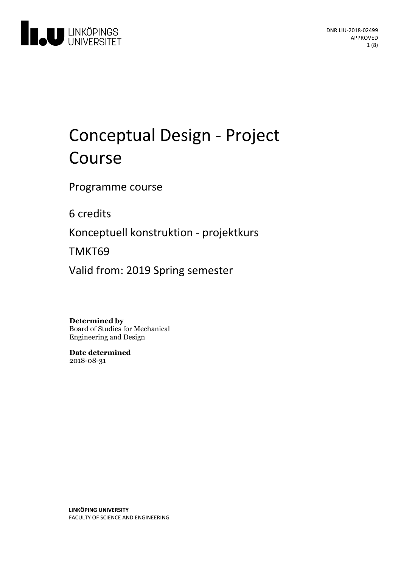

# Conceptual Design - Project Course

Programme course

6 credits

Konceptuell konstruktion - projektkurs

TMKT69

Valid from: 2019 Spring semester

**Determined by**

Board of Studies for Mechanical Engineering and Design

**Date determined** 2018-08-31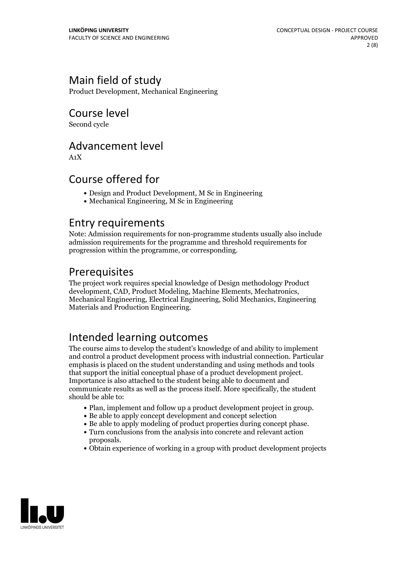# Main field of study

Product Development, Mechanical Engineering

Course level

Second cycle

### Advancement level

A1X

### Course offered for

- Design and Product Development, M Sc in Engineering
- Mechanical Engineering, M Sc in Engineering

### Entry requirements

Note: Admission requirements for non-programme students usually also include admission requirements for the programme and threshold requirements for progression within the programme, or corresponding.

## Prerequisites

The project work requires special knowledge of Design methodology Product development, CAD, Product Modeling, Machine Elements, Mechatronics, Mechanical Engineering, Electrical Engineering, Solid Mechanics, Engineering Materials and Production Engineering.

# Intended learning outcomes

The course aims to develop the student's knowledge of and ability to implement and control a product development process with industrial connection. Particular emphasis is placed on the student understanding and using methods and tools that support the initial conceptual phase of <sup>a</sup> product development project. Importance is also attached to the student being able to document and communicate results as well as the process itself. More specifically, the student should be able to:

- Plan, implement and follow up a product development project in group.<br>• Be able to apply concept development and concept selection<br>• Be able to apply modeling of product properties during concept phase.
- 
- 
- $\bullet$  Turn conclusions from the analysis into concrete and relevant action
- proposals. Obtain experience ofworking in <sup>a</sup> group with product development projects

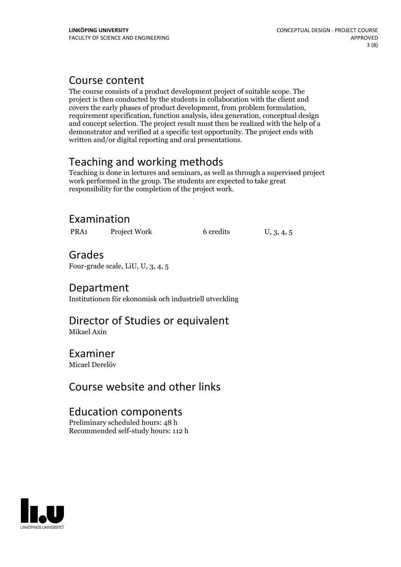## Course content

The course consists of a product development project of suitable scope. The project is then conducted by the students in collaboration with the client and covers the early phases of product development, from problem formulation, requirement specification, function analysis, idea generation, conceptual design and concept selection. The project result must then be realized with the help of a demonstrator and verified at a specific test opportunity. The project ends with written and/or digital reporting and oral presentations.

# Teaching and working methods

Teaching is done in lectures and seminars, as well as through a supervised project work performed in the group. The students are expected to take great responsibility for the completion of the project work.

# Examination

PRA1 Project Work 6 credits U, 3, 4, 5

# Grades

Four-grade scale, LiU, U, 3, 4, 5

### Department

Institutionen för ekonomisk och industriell utveckling

### Director of Studies or equivalent Mikael Axin

### Examiner

Micael Derelöv

# Course website and other links

### Education components

Preliminary scheduled hours: 48 h Recommended self-study hours: 112 h

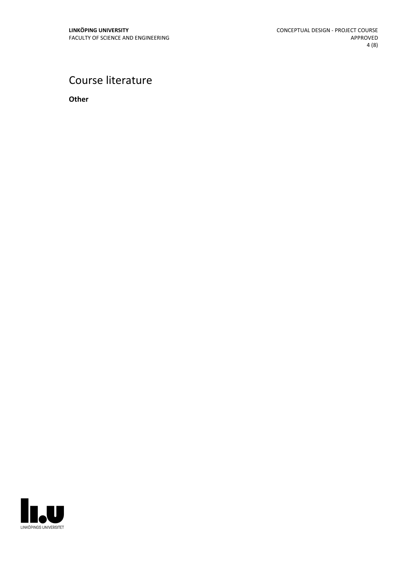# Course literature

**Other**

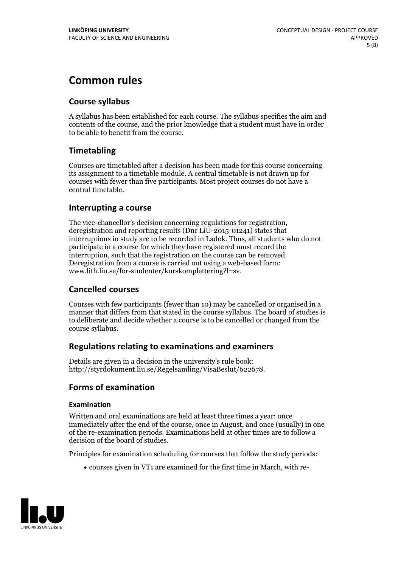# **Common rules**

### **Course syllabus**

A syllabus has been established for each course. The syllabus specifies the aim and contents of the course, and the prior knowledge that a student must have in order to be able to benefit from the course.

### **Timetabling**

Courses are timetabled after a decision has been made for this course concerning its assignment to a timetable module. A central timetable is not drawn up for courses with fewer than five participants. Most project courses do not have a central timetable.

### **Interrupting a course**

The vice-chancellor's decision concerning regulations for registration, deregistration and reporting results (Dnr LiU-2015-01241) states that interruptions in study are to be recorded in Ladok. Thus, all students who do not participate in a course for which they have registered must record the interruption, such that the registration on the course can be removed. Deregistration from <sup>a</sup> course is carried outusing <sup>a</sup> web-based form: www.lith.liu.se/for-studenter/kurskomplettering?l=sv.

### **Cancelled courses**

Courses with few participants (fewer than 10) may be cancelled or organised in a manner that differs from that stated in the course syllabus. The board of studies is to deliberate and decide whether a course is to be cancelled orchanged from the course syllabus.

### **Regulations relatingto examinations and examiners**

Details are given in a decision in the university's rule book: http://styrdokument.liu.se/Regelsamling/VisaBeslut/622678.

### **Forms of examination**

#### **Examination**

Written and oral examinations are held at least three times a year: once immediately after the end of the course, once in August, and once (usually) in one of the re-examination periods. Examinations held at other times are to follow a decision of the board of studies.

Principles for examination scheduling for courses that follow the study periods:

courses given in VT1 are examined for the first time in March, with re-

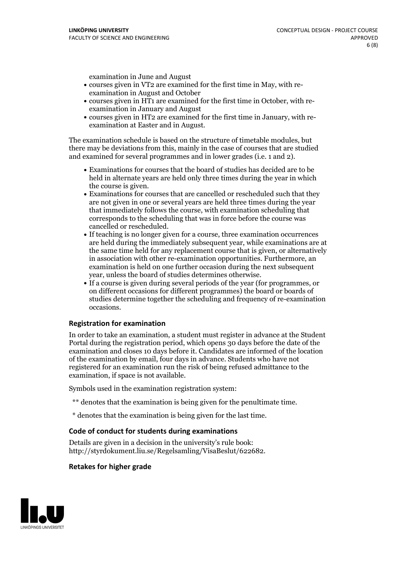examination in June and August

- courses given in VT2 are examined for the first time in May, with re-examination in August and October
- courses given in HT1 are examined for the first time in October, with re-examination in January and August
- courses given in HT2 are examined for the first time in January, with re-examination at Easter and in August.

The examination schedule is based on the structure of timetable modules, but there may be deviations from this, mainly in the case of courses that are studied and examined for several programmes and in lower grades (i.e. 1 and 2).

- Examinations for courses that the board of studies has decided are to be held in alternate years are held only three times during the year in which
- the course is given.<br>• Examinations for courses that are cancelled or rescheduled such that they are not given in one or several years are held three times during the year that immediately follows the course, with examination scheduling that corresponds to the scheduling that was in force before the course was cancelled or rescheduled.<br>• If teaching is no longer given for a course, three examination occurrences
- are held during the immediately subsequent year, while examinations are at the same time held for any replacement course that is given, or alternatively in association with other re-examination opportunities. Furthermore, an examination is held on one further occasion during the next subsequent year, unless the board of studies determines otherwise.<br>• If a course is given during several periods of the year (for programmes, or
- on different occasions for different programmes) the board orboards of studies determine together the scheduling and frequency of re-examination occasions.

#### **Registration for examination**

In order to take an examination, a student must register in advance at the Student Portal during the registration period, which opens 30 days before the date of the examination and closes 10 days before it. Candidates are informed of the location of the examination by email, four days in advance. Students who have not registered for an examination run the risk of being refused admittance to the examination, if space is not available.

Symbols used in the examination registration system:

- \*\* denotes that the examination is being given for the penultimate time.
- \* denotes that the examination is being given for the last time.

#### **Code of conduct for students during examinations**

Details are given in a decision in the university's rule book: http://styrdokument.liu.se/Regelsamling/VisaBeslut/622682.

#### **Retakes for higher grade**

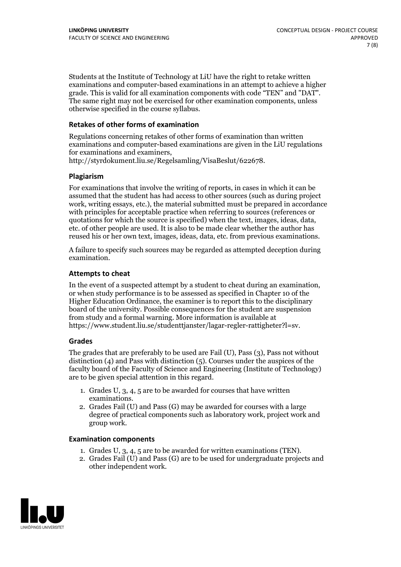Students at the Institute of Technology at LiU have the right to retake written examinations and computer-based examinations in an attempt to achieve a higher grade. This is valid for all examination components with code "TEN" and "DAT". The same right may not be exercised for other examination components, unless otherwise specified in the course syllabus.

#### **Retakes of other forms of examination**

Regulations concerning retakes of other forms of examination than written examinations and computer-based examinations are given in the LiU regulations for examinations and examiners, http://styrdokument.liu.se/Regelsamling/VisaBeslut/622678.

#### **Plagiarism**

For examinations that involve the writing of reports, in cases in which it can be assumed that the student has had access to other sources (such as during project work, writing essays, etc.), the material submitted must be prepared in accordance with principles for acceptable practice when referring to sources (references or quotations for which the source is specified) when the text, images, ideas, data, etc. of other people are used. It is also to be made clear whether the author has reused his or her own text, images, ideas, data, etc. from previous examinations.

A failure to specify such sources may be regarded as attempted deception during examination.

#### **Attempts to cheat**

In the event of <sup>a</sup> suspected attempt by <sup>a</sup> student to cheat during an examination, or when study performance is to be assessed as specified in Chapter <sup>10</sup> of the Higher Education Ordinance, the examiner is to report this to the disciplinary board of the university. Possible consequences for the student are suspension from study and a formal warning. More information is available at https://www.student.liu.se/studenttjanster/lagar-regler-rattigheter?l=sv.

#### **Grades**

The grades that are preferably to be used are Fail (U), Pass (3), Pass not without distinction  $(4)$  and Pass with distinction  $(5)$ . Courses under the auspices of the faculty board of the Faculty of Science and Engineering (Institute of Technology) are to be given special attention in this regard.

- 1. Grades U, 3, 4, 5 are to be awarded for courses that have written
- examinations. 2. Grades Fail (U) and Pass (G) may be awarded for courses with <sup>a</sup> large degree of practical components such as laboratory work, project work and group work.

#### **Examination components**

- 
- 1. Grades U, 3, 4, <sup>5</sup> are to be awarded for written examinations (TEN). 2. Grades Fail (U) and Pass (G) are to be used for undergraduate projects and other independent work.